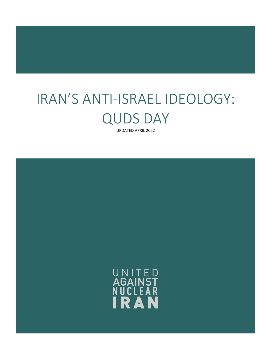# IRAN'S ANTI-ISRAEL IDEOLOGY: QUDS DAY

UPDATED APRIL 2022

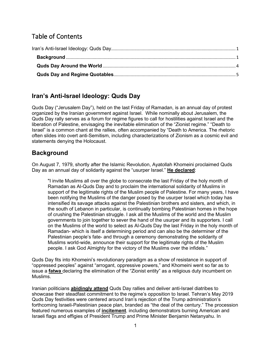# Table of Contents

# <span id="page-1-0"></span>**Iran's Anti-Israel Ideology: Quds Day**

Quds Day ("Jerusalem Day"), held on the last Friday of Ramadan, is an annual day of protest organized by the Iranian government against Israel. While nominally about Jerusalem, the Quds Day rally serves as a forum for regime figures to call for hostilities against Israel and the liberation of Palestine, envisaging the inevitable elimination of the "Zionist regime." "Death to Israel" is a common chant at the rallies, often accompanied by "Death to America. The rhetoric often slides into overt anti-Semitism, including characterizations of Zionism as a cosmic evil and statements denying the Holocaust.

# <span id="page-1-1"></span>**Background**

On August 7, 1979, shortly after the Islamic Revolution, Ayatollah Khomeini proclaimed Quds Day as an annual day of solidarity against the "usurper Israel." **[He declared](http://web.archive.org/web/20031028225026/http:/www.irib.ir/occasions/Quds_Day/Quds%20dayEn.htm)**:

"I invite Muslims all over the globe to consecrate the last Friday of the holy month of Ramadan as Al-Quds Day and to proclaim the international solidarity of Muslims in support of the legitimate rights of the Muslim people of Palestine. For many years, I have been notifying the Muslims of the danger posed by the usurper Israel which today has intensified its savage attacks against the Palestinian brothers and sisters, and which, in the south of Lebanon in particular, is continually bombing Palestinian homes in the hope of crushing the Palestinian struggle. I ask all the Muslims of the world and the Muslim governments to join together to sever the hand of the usurper and its supporters. I call on the Muslims of the world to select as Al-Quds Day the last Friday in the holy month of Ramadan- which is itself a determining period and can also be the determiner of the Palestinian people's fate- and through a ceremony demonstrating the solidarity of Muslims world-wide, announce their support for the legitimate rights of the Muslim people. I ask God Almighty for the victory of the Muslims over the infidels."

Quds Day fits into Khomeini's revolutionary paradigm as a show of resistance in support of "oppressed peoples" against "arrogant, oppressive powers," and Khomeini went so far as to issue a **[fatwa](https://books.google.com/books?id=EKRlEPFc038C&=PP1&pg=PA370#v=onepage&q&f=false)** declaring the elimination of the "Zionist entity" as a religious duty incumbent on Muslims.

Iranian politicians **[abidingly attend](http://www.bbc.com/news/world-middle-east-23448932)** Quds Day rallies and deliver anti-Israel diatribes to showcase their steadfast commitment to the regime's opposition to Israel. Tehran's May 2019 Quds Day festivities were centered around Iran's rejection of the Trump administration's forthcoming Israeli-Palestinian peace plan, branded as "the deal of the century." The procession featured numerous examples of **[incitement](https://www.timesofisrael.com/iran-leaders-mock-trump-peace-plan-as-thousands-mark-quds-day/)**, including demonstrators burning American and Israeli flags and effigies of President Trump and Prime Minister Benjamin Netanyahu. In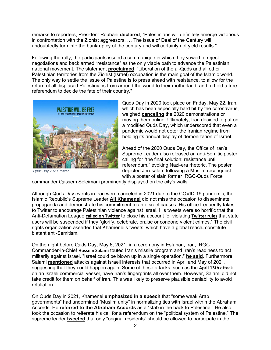remarks to reporters, President Rouhani **[declared](http://www.xinhuanet.com/english/2019-06/01/c_138106921.htm)**, "Palestinians will definitely emerge victorious in confrontation with the Zionist aggressors. … The issue of Deal of the Century will undoubtedly turn into the bankruptcy of the century and will certainly not yield results."

Following the rally, the participants issued a communique in which they vowed to reject negotiations and back armed "resistance" as the only viable path to advance the Palestinian national movement. The statement **[proclaimed](http://www.xinhuanet.com/english/2019-06/01/c_138106921.htm)**, "Liberation of the al-Quds and all other Palestinian territories from the Zionist (Israel) occupation is the main goal of the Islamic world. The only way to settle the issue of Palestine is to press ahead with resistance, to allow for the return of all displaced Palestinians from around the world to their motherland, and to hold a free referendum to decide the fate of their country."



*Quds Day 2020 Poster*

Quds Day in 2020 took place on Friday, May 22. Iran, which has been especially hard hit by the coronavirus, weighed **[canceling](https://www.haaretz.com/middle-east-news/iran/.premium-iran-cancels-annual-al-quds-day-anti-israel-protests-amid-pandemic-1.8816992)** the 2020 demonstrations or moving them online. Ultimately, Iran decided to put on a modified Quds Day, which underscored that even a pandemic would not deter the Iranian regime from holding its annual display of demonization of Israel.

Ahead of the 2020 Quds Day, the Office of Iran's Supreme Leader also [released](https://www.jpost.com/middle-east/iran-news/irans-supreme-leader-releases-anti-israel-final-solution-poster-628633) an anti-Semitic poster calling for "the final solution: resistance until referendum," evoking Nazi-era rhetoric. The poster depicted Jerusalem following a Muslim reconquest with a poster of slain former IRGC-Quds Force

commander Qassem Soleimani prominently displayed on the city's walls.

Although Quds Day events in Iran were canceled in 2021 due to the COVID-19 pandemic, the Islamic Republic's Supreme Leader **[Ali Khamenei](https://www.unitedagainstnucleariran.com/khamenei)** did not miss the occasion to disseminate propaganda and demonstrate his commitment to anti-Israel causes. His office frequently takes to Twitter to encourage Palestinian violence against Israel. His tweets were so horrific that the Anti-Defamation League **[called on Twitter](https://english.alarabiya.net/News/middle-east/2021/05/08/US-civil-rights-group-calls-on-Twitter-to-ban-Iran-s-Khamenei-for-Quds-Day-posts-)** to close his account for violating **[Twitter rules](https://help.twitter.com/en/rules-and-policies/glorification-of-violence)** that state users will be suspended if they "glorify, celebrate, praise or condone violent crimes." The civil rights organization asserted that Khamenei's tweets, which have a global reach**,** constitute blatant anti-Semitism.

On the night before Quds Day, May 6, 2021, in a ceremony in Esfahan, Iran, IRGC Commander-in-Chief **[Hossein Salami](https://www.unitedagainstnucleariran.com/hossein-salami)** touted Iran's missile program and Iran's readiness to act militarily against Israel. "Israel could be blown up in a single operation," **[he said.](https://www.al-monitor.com/originals/2021/05/irgc-chief-israel-could-be-blown-single-operation)** Furthermore, Salami **[mentioned](https://old.iranintl.com/en/iran/irgc-officials-iran-missiles-can-destroy-israel%E2%80%99s-%E2%80%98fake-regime%E2%80%99-24-hours)** attacks against Israeli interests that occurred in April and May of 2021, suggesting that they could happen again. Some of these attacks, such as the **[April 13th attack](https://www.timesofisrael.com/israeli-owned-ship-said-attacked-off-uae-coast-amid-sky-high-tensions-with-iran/)** on an Israeli commercial vessel, have Iran's fingerprints all over them. However, Salami did not take credit for them on behalf of Iran. This was likely to preserve plausible deniability to avoid retaliation.

On Quds Day in 2021, Khamenei **[emphasized in a speech](https://www.timesofisrael.com/on-al-quds-day-irans-khamenei-says-israel-is-a-terrorist-base-not-a-country/)** that "some weak Arab governments" had undermined "Muslim unity" in normalizing ties with Israel within the Abraham Accords. He **[referred to the Abraham Accords](https://www.adl.org/blog/irans-khamenei-exploits-twitter-for-al-quds-day)** as a "stab in the back to Palestine." He also took the occasion to reiterate his call for a referendum on the "political system of Palestine." The supreme leader **[tweeted](https://twitter.com/khamenei_ir/status/1390634736121483266)** that only "original residents" should be allowed to participate in the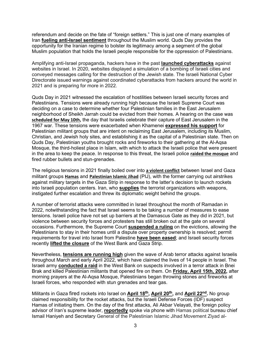referendum and decide on the fate of "foreign settlers." This is just one of many examples of Iran **[fueling anti-Israel sentiment](https://www.timesofisrael.com/on-al-quds-day-irans-khamenei-says-israel-is-a-terrorist-base-not-a-country/)** throughout the Muslim world. Quds Day provides the opportunity for the Iranian regime to bolster its legitimacy among a segment of the global Muslim population that holds the Israeli people responsible for the oppression of Palestinians.

Amplifying anti-Israel propaganda, hackers have in the past **[launched cyberattacks](https://www.timesofisrael.com/cyber-directorate-warns-of-anticipated-attacks-to-mark-irans-jerusalem-day/)** against websites in Israel. In 2020, websites displayed a simulation of a bombing of Israeli cities and conveyed messages calling for the destruction of the Jewish state. The Israeli National Cyber Directorate issued warnings against coordinated cyberattacks from hackers around the world in 2021 and is preparing for more in 2022.

Quds Day in 2021 witnessed the escalation of hostilities between Israeli security forces and Palestinians. Tensions were already running high because the Israeli Supreme Court was deciding on a case to determine whether four Palestinian families in the East Jerusalem neighborhood of Sheikh Jarrah could be evicted from their homes. A hearing on the case was **[scheduled for May 10th](https://www.reuters.com/world/middle-east/thousands-pack-al-aqsa-mosque-protest-palestinian-evictions-jerusalem-2021-05-07/),** the day that Israelis celebrate their capture of East Jerusalem in the 1967 war. These tensions were exacerbated when Khamenei **[expressed his support](https://old.iranintl.com/en/world/khamenei-reiterates-referendum-palestine-avoids-mention-nuclear-talks-speech)** for Palestinian militant groups that are intent on reclaiming East Jerusalem, including its Muslim, Christian, and Jewish holy sites, and establishing it as the capital of a Palestinian state. Then on Quds Day, Palestinian youths brought rocks and fireworks to their gathering at the Al-Aqsa Mosque, the third-holiest place in Islam, with which to attack the Israeli police that were present in the area to keep the peace. In response to this threat, the Israeli police **[raided the mosque](https://www.reuters.com/world/middle-east/thousands-pack-al-aqsa-mosque-protest-palestinian-evictions-jerusalem-2021-05-07/)** and fired rubber bullets and stun-grenades.

The religious tensions in 2021 finally boiled over into **[a violent conflict](https://www.reuters.com/world/asia-pacific/violence-erupts-al-aqsa-mosque-israel-marks-jerusalem-day-2021-05-10/)** between Israel and Gaza militant groups **[Hamas](https://www.unitedagainstnucleariran.com/report/hamas)** and **[Palestinian Islamic Jihad](https://www.unitedagainstnucleariran.com/report/palestinian-islamic-jihad)** (PIJ), with the former carrying out airstrikes against military targets in the Gaza Strip in response to the latter's decision to launch rockets into Israeli population centers. Iran, who **[supplies](https://www.al-monitor.com/originals/2021/04/report-outlines-how-iran-smuggles-arms-hamas)** the terrorist organizations with weapons, instigated further escalation and threw its diplomatic weight behind the groups.

A number of terrorist attacks were committed in Israel throughout the month of Ramadan in 2022, notwithstanding the fact that Israel seems to be taking a number of measures to ease tensions. Israeli police have not set up barriers at the Damascus Gate as they did in 2021, but violence between security forces and protesters has still broken out at the gate on several occasions. Furthermore, the Supreme Court **[suspended](https://www.nytimes.com/2022/03/01/world/middleeast/israel-palestinians-evictions.html) a ruling** on the evictions, allowing the Palestinians to stay in their homes until a dispute over property ownership is resolved; permit requirements for travel into Israel from Palestine **[have been eased](https://www.timesofisrael.com/while-west-bank-tensions-rise-jerusalem-sees-a-quiet-ramadan-for-now/)**; and Israeli security forces recently **[lifted the closure](https://www.jpost.com/breaking-news/article-704234)** of the West Bank and Gaza Strip.

Nevertheless, **tensions are [running high](https://www.theguardian.com/world/2022/apr/19/israel-strikes-gaza-after-rocket-attack-as-jerusalem-tensions-soar)** given the wave of Arab terror attacks against Israelis throughout March and early April 2022, which have claimed the lives of 14 people in Israel. The Israeli army **[conducted a raid](https://www.al-monitor.com/originals/2022/03/three-dead-west-bank-violence-escalates)** in the West Bank on suspects involved in a terror attack in Bnei Brak and killed Palestinian militants that opened fire on them. On **[Friday, April 15th, 2022,](https://www.cnn.com/2022/04/15/middleeast/jerusalem-violence-intl/index.html)** after morning prayers at the Al-Aqsa Mosque, Palestinians began throwing stones and fireworks at Israeli forces, who responded with stun grenades and tear gas.

Militants in Gaza fired rockets into Israel on **April 18<sup>th</sup>, April 20<sup>th</sup>**, and **April 22<sup>nd</sup></u>. No group** claimed responsibility for the rocket attacks, but the Israeli Defense Forces (IDF) suspect Hamas of initiating them. On the day of the first attacks, Ali Akbar Velayati, the foreign policy advisor of Iran's supreme leader, **[reportedly](https://ifpnews.com/velayati-iran-to-stand-by-palestinians-for-good/)** spoke via phone with Hamas political bureau chief Ismail Haniyeh and Secretary General of the Palestinian Islamic Jihad Movement Ziyad al-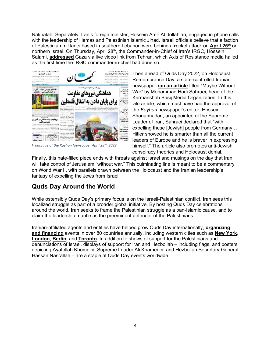Nakhalah. Separately, Iran's foreign minister, Hossein Amir Abdollahian, engaged in phone calls with the leadership of Hamas and Palestinian Islamic Jihad. Israeli officials believe that a faction of Palestinian militants based in southern Lebanon were behind a **r**ocket attack on **[April 25th](https://www.wsj.com/articles/israel-strikes-lebanon-in-response-to-rocket-attack-11650876064)** on northern Israel. On Thursday, April 28<sup>th</sup>, the Commander-in-Chief of Iran's IRGC, Hossein Salami, **[addressed](https://www.presstv.ir/Detail/2022/04/28/681170/Negotiations,-agreements-brokered-by-US-will-not-lead-to-liberation-of-Palestinians%E2%80%8E--IRGC-chief)** Gaza via live video link from Tehran, which Axis of Resistance media hailed as the first time the IRGC commander-in-chief had done so.



*Frontpage of the Kayhan Newspaper April 28th, 2022*

Then ahead of Quds Day 2022, on Holocaust Remembrance Day, a state-controlled Iranian newspaper **[ran an article](https://iranwire.com/en/society/103464-iranian-state-aligned-newspaper-praises-hitler-on-holocaust-remembrance-day)** titled "Maybe Without War" by Mohammad Hadi Sahraei, head of the Kermanshah Basij Media Organization. In this vile article, which must have had the approval of the *Kayhan* newspaper's editor, Hossein Shariatmadari, an appointee of the Supreme Leader of Iran, Sahraei declared that "with expelling these [Jewish] people from Germany… Hitler showed he is smarter than all the current leaders of Europe and he is braver in expressing himself." The article also promotes anti-Jewish conspiracy theories and Holocaust denial.

Finally, this hate-filled piece ends with threats against Israel and musings on the day that Iran will take control of Jerusalem "without war." This culminating line is meant to be a commentary on World War II, with parallels drawn between the Holocaust and the Iranian leadership's fantasy of expelling the Jews from Israel.

# <span id="page-4-0"></span>**Quds Day Around the World**

While ostensibly Quds Day's primary focus is on the Israeli-Palestinian conflict, Iran sees this localized struggle as part of a broader global initiative. By hosting Quds Day celebrations around the world, Iran seeks to frame the Palestinian struggle as a pan-Islamic cause, and to claim the leadership mantle as the preeminent defender of the Palestinians.

Iranian-affiliated agents and entities have helped grow Quds Day internationally, **[organizing](http://www.bbc.com/news/world-middle-east-23448932)  [and financing](http://www.bbc.com/news/world-middle-east-23448932)** events in over 80 countries annually, including western cities such as **[New York](https://www.timesofisrael.com/protesters-at-new-york-al-quds-day-rally-call-for-end-of-israel/)**, **[London](https://www.algemeiner.com/2017/06/18/hezbollah-flags-fly-in-london-as-jewish-protesters-counter-al-quds-day-march/)**, **[Berlin](http://www.jpost.com/International/Islamists-at-Berlin-al-Quds-Day-call-for-destruction-of-Jewish-state-321974)**, and **[Toronto](http://torontosun.com/news/local-news/toronto-police-probe-anti-semitic-music-video-played-at-al-quds-day-rally)**. In addition to shows of support for the Palestinians and denunciations of Israel, displays of support for Iran and Hezbollah – including flags, and posters depicting Ayatollah Khomeini, Supreme Leader Ali Khamenei, and Hezbollah Secretary-General Hassan Nasrallah – are a staple at Quds Day events worldwide.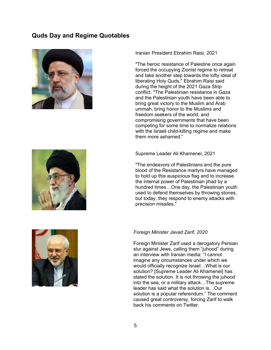# <span id="page-5-0"></span>**Quds Day and Regime Quotables**







[Iranian President Ebrahim Raisi, 2021](https://www.middleeasteye.net/news/ebrahim-raisi-new-iranian-presidents-most-controversial-quotes)

"The heroic resistance of Palestine once again forced the occupying Zionist regime to retreat and take another step towards the lofty ideal of liberating Holy Quds," Ebrahim Raisi said during the height of the 2021 Gaza Strip conflict. "The Palestinian resistance in Gaza and the Palestinian youth have been able to bring great victory to the Muslim and Arab ummah, bring honor to the Muslims and freedom seekers of the world, and compromising governments that have been competing for some time to normalize relations with the Israeli child-killing regime and make them more ashamed."

[Supreme Leader Ali Khamenei, 2021](https://old.iranintl.com/en/world/khamenei-reiterates-referendum-palestine-avoids-mention-nuclear-talks-speech)

"The endeavors of Palestinians and the pure blood of the Resistance martyrs have managed to hold up this auspicious flag and to increase the internal power of Palestinian jihad by a hundred times…One day, the Palestinian youth used to defend themselves by throwing stones, but today, they respond to enemy attacks with precision missiles."

## *Foreign Minister Javad Zarif, 2020*

Foreign Minister Zarif used a derogatory Persian slur against Jews, calling them "juhood" during an interview with Iranian media: "I cannot imagine any circumstances under which we would officially recognize Israel…What is our solution? [Supreme Leader Ali Khamenei] has stated the solution. It is not throwing the juhood into the sea, or a military attack…The supreme leader has said what the solution is…Our solution is a popular referendum." The comment caused great controversy, forcing Zarif to walk back his comments on Twitter.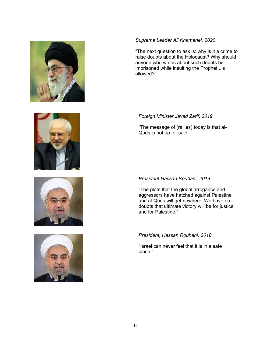







## *Supreme Leader Ali Khamenei, 2020*

"The next question to ask is: why is it a crime to raise doubts about the Holocaust? Why should anyone who writes about such doubts be imprisoned while insulting the Prophet...is allowed?"

## *Foreign Minister Javad Zarif, 2019*

"The message of (rallies) today is that al-Quds is not up for sale."

# *President Hassan Rouhani, 2019*

"The plots that the global arrogance and aggressors have hatched against Palestine and al-Quds will get nowhere. We have no doubts that ultimate victory will be for justice and for Palestine."

# *President, Hassan Rouhani, 2018*

"Israel can never feel that it is in a safe place."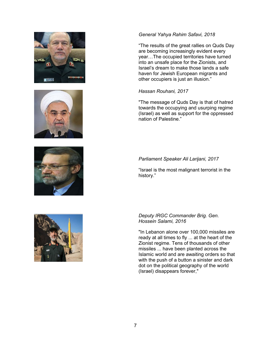







#### *General Yahya Rahim Safavi, 2018*

"The results of the great rallies on Quds Day are becoming increasingly evident every year…The occupied territories have turned into an unsafe place for the Zionists, and Israel's dream to make those lands a safe haven for Jewish European migrants and other occupiers is just an illusion."

## *[Hassan Rouhani, 2017](http://www.presstv.com/Detail/2017/06/23/526215/Iran-Quds-Day)*

"The message of Quds Day is that of hatred towards the occupying and usurping regime (Israel) as well as support for the oppressed nation of Palestine."

# *[Parliament Speaker Ali Larijani, 2017](https://www.tasnimnews.com/en/news/2017/06/23/1444715/iranian-speaker-brands-israel-as-mother-of-terrorism)*

"Israel is the most malignant terrorist in the history."

#### *[Deputy IRGC Commander Brig. Gen.](http://www.aljazeera.com/news/2016/07/thousands-rally-iran-al-quds-day-160701140624059.html)  [Hossein Salami, 2016](http://www.aljazeera.com/news/2016/07/thousands-rally-iran-al-quds-day-160701140624059.html)*

"In Lebanon alone over 100,000 missiles are ready at all times to fly ... at the heart of the Zionist regime. Tens of thousands of other missiles ... have been planted across the Islamic world and are awaiting orders so that with the push of a button a sinister and dark dot on the political geography of the world (Israel) disappears forever,"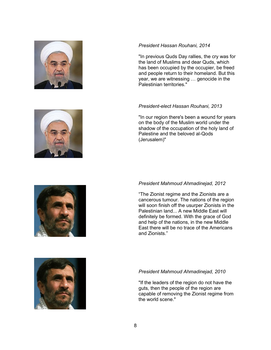







#### *President [Hassan Rouhani, 2014](http://www.al-monitor.com/pulse/originals/2014/07/iran-unity-gaza-support-quds-day.html)*

"In previous Quds Day rallies, the cry was for the land of Muslims and dear Quds, which has been occupied by the occupier, be freed and people return to their homeland. But this year, we are witnessing … genocide in the Palestinian territories."

#### *[President-elect Hassan Rouhani, 2013](http://uk.reuters.com/article/uk-iran-israel-idUKBRE9710GL20130802)*

"In our region there's been a wound for years on the body of the Muslim world under the shadow of the occupation of the holy land of Palestine and the beloved al-Qods (Jerusalem)"

## *[President Mahmoud Ahmadinejad, 2012](http://nation.foxnews.com/iran/2012/08/17/ahmadinejad-cancerous-tumor-israel-will-soon-be-destroyed)*

"The Zionist regime and the Zionists are a cancerous tumour. The nations of the region will soon finish off the usurper Zionists in the Palestinian land... A new Middle East will definitely be formed. With the grace of God and help of the nations, in the new Middle East there will be no trace of the Americans and Zionists."

#### *[President Mahmoud Ahmadinejad, 2010](http://www.telegraph.co.uk/news/worldnews/middleeast/iran/7979496/Ahmadinejad-predicts-the-removal-of-Zionists-from-the-world.html)*

"If the leaders of the region do not have the guts, then the people of the region are capable of removing the Zionist regime from the world scene."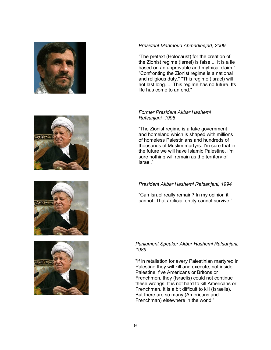







#### *[President Mahmoud Ahmadinejad, 2009](http://www.reuters.com/article/2009/09/18/us-iran-idUSTRE58H17S20090918?rpc=64&sp=true)*

"The pretext (Holocaust) for the creation of the Zionist regime (Israel) is false ... It is a lie based on an unprovable and mythical claim." "Confronting the Zionist regime is a national and religious duty." "This regime (Israel) will not last long. ... This regime has no future. Its life has come to an end."

#### *[Former President Akbar Hashemi](http://www.apnewsarchive.com/1998/Iran-Protests-Israel-s-Control/id-dd6f4839c66d6c59f0f80a1c5bedf670)  [Rafsanjani, 1998](http://www.apnewsarchive.com/1998/Iran-Protests-Israel-s-Control/id-dd6f4839c66d6c59f0f80a1c5bedf670)*

"The Zionist regime is a fake government and homeland which is shaped with millions of homeless Palestinians and hundreds of thousands of Muslim martyrs. I'm sure that in the future we will have Islamic Palestine. I'm sure nothing will remain as the territory of Israel."

# *[President Akbar Hashemi Rafsanjani, 1994](http://www.apnewsarchive.com/1994/Muslims-Around-The-World-Rally-For-Israel-s-Extermination-With-AM-Israel-Unrest-Bjt/id-1b4fd83b8646da55e2c0479cde224234)*

"Can Israel really remain? In my opinion it cannot. That artificial entity cannot survive."

# *[Parliament Speaker Akbar Hashemi Rafsanjani,](http://www.apnewsarchive.com/1989/Rafsanjani-Calls-on-Palestinians-to-Kill-Westerners/id-304878353c049ee092da81f698c886b8)  [1989](http://www.apnewsarchive.com/1989/Rafsanjani-Calls-on-Palestinians-to-Kill-Westerners/id-304878353c049ee092da81f698c886b8)*

"If in retaliation for every Palestinian martyred in Palestine they will kill and execute, not inside Palestine, five Americans or Britons or Frenchmen, they (Israelis) could not continue these wrongs. It is not hard to kill Americans or Frenchman. It is a bit difficult to kill (Israelis). But there are so many (Americans and Frenchman) elsewhere in the world."